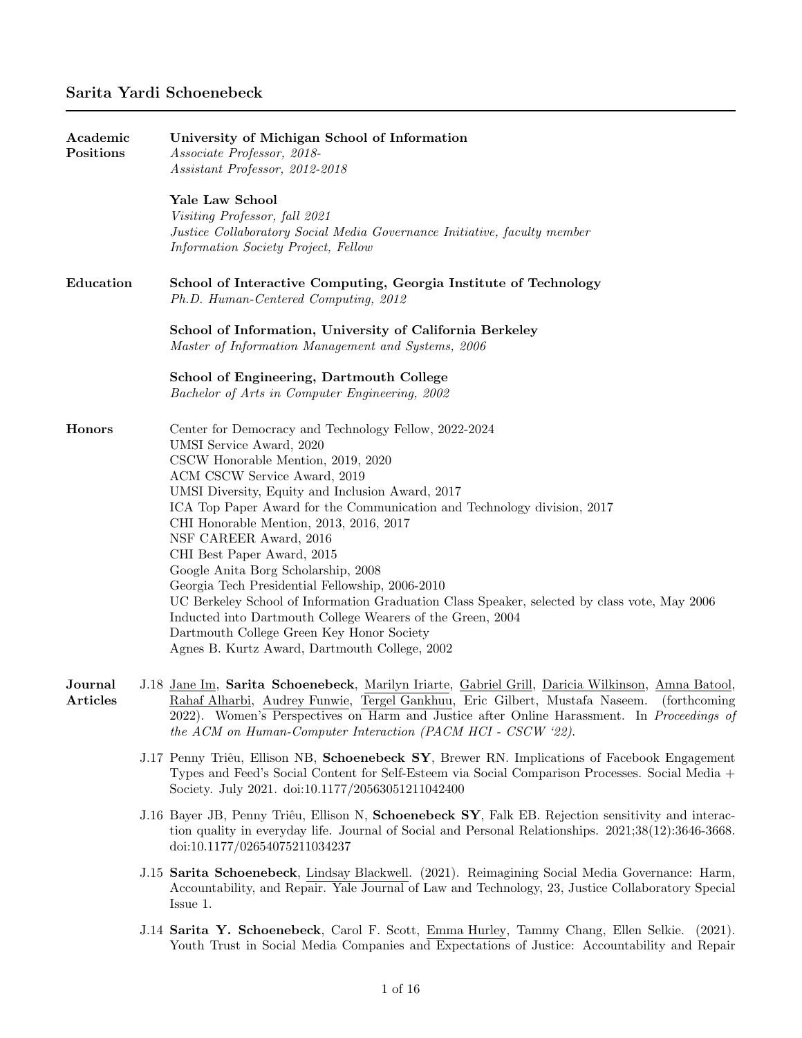| Academic<br>Positions | University of Michigan School of Information<br>Associate Professor, 2018-<br>Assistant Professor, 2012-2018                                                                                                                                                                                                                                                                                                                                                                                                                                                                                                                                                                                                                                    |  |  |  |  |
|-----------------------|-------------------------------------------------------------------------------------------------------------------------------------------------------------------------------------------------------------------------------------------------------------------------------------------------------------------------------------------------------------------------------------------------------------------------------------------------------------------------------------------------------------------------------------------------------------------------------------------------------------------------------------------------------------------------------------------------------------------------------------------------|--|--|--|--|
|                       | Yale Law School<br>Visiting Professor, fall 2021<br>Justice Collaboratory Social Media Governance Initiative, faculty member<br>Information Society Project, Fellow                                                                                                                                                                                                                                                                                                                                                                                                                                                                                                                                                                             |  |  |  |  |
| Education             | School of Interactive Computing, Georgia Institute of Technology<br>Ph.D. Human-Centered Computing, 2012                                                                                                                                                                                                                                                                                                                                                                                                                                                                                                                                                                                                                                        |  |  |  |  |
|                       | School of Information, University of California Berkeley<br>Master of Information Management and Systems, 2006                                                                                                                                                                                                                                                                                                                                                                                                                                                                                                                                                                                                                                  |  |  |  |  |
|                       | School of Engineering, Dartmouth College<br>Bachelor of Arts in Computer Engineering, 2002                                                                                                                                                                                                                                                                                                                                                                                                                                                                                                                                                                                                                                                      |  |  |  |  |
| <b>Honors</b>         | Center for Democracy and Technology Fellow, 2022-2024<br>UMSI Service Award, 2020<br>CSCW Honorable Mention, 2019, 2020<br>ACM CSCW Service Award, 2019<br>UMSI Diversity, Equity and Inclusion Award, 2017<br>ICA Top Paper Award for the Communication and Technology division, 2017<br>CHI Honorable Mention, 2013, 2016, 2017<br>NSF CAREER Award, 2016<br>CHI Best Paper Award, 2015<br>Google Anita Borg Scholarship, 2008<br>Georgia Tech Presidential Fellowship, 2006-2010<br>UC Berkeley School of Information Graduation Class Speaker, selected by class vote, May 2006<br>Inducted into Dartmouth College Wearers of the Green, 2004<br>Dartmouth College Green Key Honor Society<br>Agnes B. Kurtz Award, Dartmouth College, 2002 |  |  |  |  |
| Journal<br>Articles   | J.18 Jane Im, Sarita Schoenebeck, Marilyn Iriarte, Gabriel Grill, Daricia Wilkinson, Amna Batool,<br>Rahaf Alharbi, Audrey Funwie, Tergel Gankhuu, Eric Gilbert, Mustafa Naseem. (forthcoming<br>2022). Women's Perspectives on Harm and Justice after Online Harassment. In Proceedings of<br>the ACM on Human-Computer Interaction (PACM HCI - CSCW '22).                                                                                                                                                                                                                                                                                                                                                                                     |  |  |  |  |
|                       | J.17 Penny Triêu, Ellison NB, Schoenebeck SY, Brewer RN. Implications of Facebook Engagement<br>Types and Feed's Social Content for Self-Esteem via Social Comparison Processes. Social Media +<br>Society. July 2021. doi:10.1177/20563051211042400                                                                                                                                                                                                                                                                                                                                                                                                                                                                                            |  |  |  |  |
|                       | J.16 Bayer JB, Penny Triêu, Ellison N, Schoenebeck SY, Falk EB. Rejection sensitivity and interac-<br>tion quality in everyday life. Journal of Social and Personal Relationships. 2021;38(12):3646-3668.<br>doi:10.1177/02654075211034237                                                                                                                                                                                                                                                                                                                                                                                                                                                                                                      |  |  |  |  |
|                       | J.15 Sarita Schoenebeck, Lindsay Blackwell. (2021). Reimagining Social Media Governance: Harm,<br>Accountability, and Repair. Yale Journal of Law and Technology, 23, Justice Collaboratory Special<br>Issue 1.                                                                                                                                                                                                                                                                                                                                                                                                                                                                                                                                 |  |  |  |  |
|                       | J.14 Sarita Y. Schoenebeck, Carol F. Scott, Emma Hurley, Tammy Chang, Ellen Selkie.<br>(2021).<br>Youth Trust in Social Media Companies and Expectations of Justice: Accountability and Repair                                                                                                                                                                                                                                                                                                                                                                                                                                                                                                                                                  |  |  |  |  |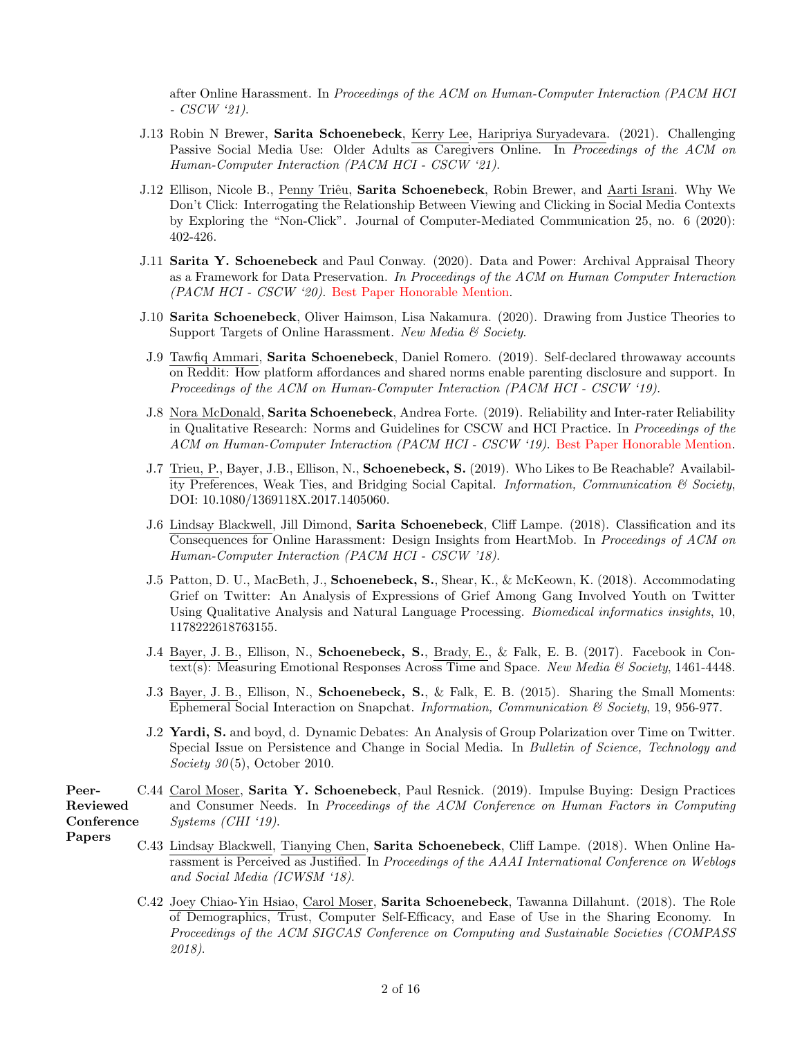after Online Harassment. In Proceedings of the ACM on Human-Computer Interaction (PACM HCI - CSCW '21).

- J.13 Robin N Brewer, Sarita Schoenebeck, Kerry Lee, Haripriya Suryadevara. (2021). Challenging Passive Social Media Use: Older Adults as Caregivers Online. In Proceedings of the ACM on Human-Computer Interaction (PACM HCI - CSCW '21).
- J.12 Ellison, Nicole B., Penny Triêu, Sarita Schoenebeck, Robin Brewer, and Aarti Israni. Why We Don't Click: Interrogating the Relationship Between Viewing and Clicking in Social Media Contexts by Exploring the "Non-Click". Journal of Computer-Mediated Communication 25, no. 6 (2020): 402-426.
- J.11 Sarita Y. Schoenebeck and Paul Conway. (2020). Data and Power: Archival Appraisal Theory as a Framework for Data Preservation. In Proceedings of the ACM on Human Computer Interaction (PACM HCI - CSCW '20). Best Paper Honorable Mention.
- J.10 Sarita Schoenebeck, Oliver Haimson, Lisa Nakamura. (2020). Drawing from Justice Theories to Support Targets of Online Harassment. New Media & Society.
- J.9 Tawfiq Ammari, Sarita Schoenebeck, Daniel Romero. (2019). Self-declared throwaway accounts on Reddit: How platform affordances and shared norms enable parenting disclosure and support. In Proceedings of the ACM on Human-Computer Interaction (PACM HCI - CSCW '19).
- J.8 Nora McDonald, Sarita Schoenebeck, Andrea Forte. (2019). Reliability and Inter-rater Reliability in Qualitative Research: Norms and Guidelines for CSCW and HCI Practice. In Proceedings of the ACM on Human-Computer Interaction (PACM HCI - CSCW '19). Best Paper Honorable Mention.
- J.7 Trieu, P., Bayer, J.B., Ellison, N., Schoenebeck, S. (2019). Who Likes to Be Reachable? Availability Preferences, Weak Ties, and Bridging Social Capital. Information, Communication  $\mathcal C$  Society, DOI: 10.1080/1369118X.2017.1405060.
- J.6 Lindsay Blackwell, Jill Dimond, Sarita Schoenebeck, Cliff Lampe. (2018). Classification and its Consequences for Online Harassment: Design Insights from HeartMob. In Proceedings of ACM on Human-Computer Interaction (PACM HCI - CSCW '18).
- J.5 Patton, D. U., MacBeth, J., Schoenebeck, S., Shear, K., & McKeown, K. (2018). Accommodating Grief on Twitter: An Analysis of Expressions of Grief Among Gang Involved Youth on Twitter Using Qualitative Analysis and Natural Language Processing. Biomedical informatics insights, 10, 1178222618763155.
- J.4 Bayer, J. B., Ellison, N., Schoenebeck, S., Brady, E., & Falk, E. B. (2017). Facebook in Context(s): Measuring Emotional Responses Across Time and Space. New Media  $\mathcal{C}'$  Society, 1461-4448.
- J.3 Bayer, J. B., Ellison, N., Schoenebeck, S., & Falk, E. B. (2015). Sharing the Small Moments: Ephemeral Social Interaction on Snapchat. Information, Communication & Society, 19, 956-977.
- J.2 Yardi, S. and boyd, d. Dynamic Debates: An Analysis of Group Polarization over Time on Twitter. Special Issue on Persistence and Change in Social Media. In Bulletin of Science, Technology and Society  $30(5)$ , October 2010.
- Peer-Reviewed **Conference** C.44 Carol Moser, Sarita Y. Schoenebeck, Paul Resnick. (2019). Impulse Buying: Design Practices and Consumer Needs. In Proceedings of the ACM Conference on Human Factors in Computing Systems (CHI '19).
- Papers
- C.43 Lindsay Blackwell, Tianying Chen, Sarita Schoenebeck, Cliff Lampe. (2018). When Online Harassment is Perceived as Justified. In Proceedings of the AAAI International Conference on Weblogs and Social Media (ICWSM '18).
- C.42 Joey Chiao-Yin Hsiao, Carol Moser, Sarita Schoenebeck, Tawanna Dillahunt. (2018). The Role of Demographics, Trust, Computer Self-Efficacy, and Ease of Use in the Sharing Economy. In Proceedings of the ACM SIGCAS Conference on Computing and Sustainable Societies (COMPASS 2018).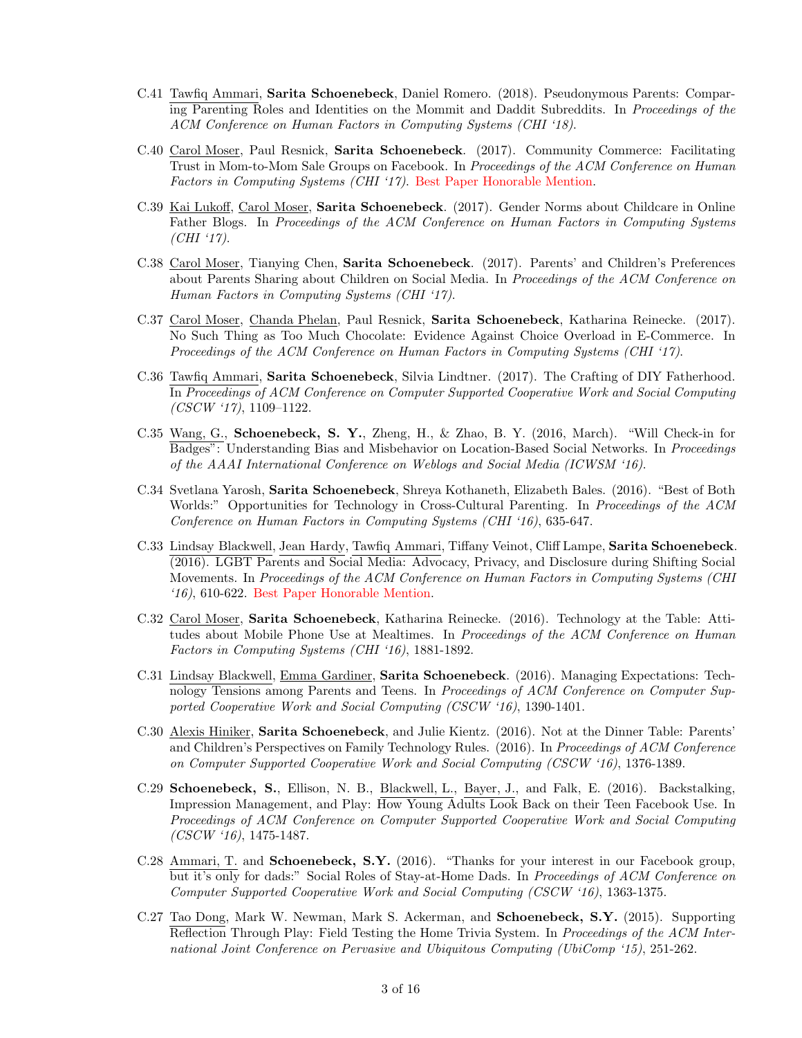- C.41 Tawfiq Ammari, Sarita Schoenebeck, Daniel Romero. (2018). Pseudonymous Parents: Comparing Parenting Roles and Identities on the Mommit and Daddit Subreddits. In Proceedings of the ACM Conference on Human Factors in Computing Systems (CHI '18).
- C.40 Carol Moser, Paul Resnick, Sarita Schoenebeck. (2017). Community Commerce: Facilitating Trust in Mom-to-Mom Sale Groups on Facebook. In *Proceedings of the ACM Conference on Human* Factors in Computing Systems (CHI '17). Best Paper Honorable Mention.
- C.39 Kai Lukoff, Carol Moser, Sarita Schoenebeck. (2017). Gender Norms about Childcare in Online Father Blogs. In Proceedings of the ACM Conference on Human Factors in Computing Systems (CHI '17).
- C.38 Carol Moser, Tianying Chen, Sarita Schoenebeck. (2017). Parents' and Children's Preferences about Parents Sharing about Children on Social Media. In Proceedings of the ACM Conference on Human Factors in Computing Systems (CHI '17).
- C.37 Carol Moser, Chanda Phelan, Paul Resnick, Sarita Schoenebeck, Katharina Reinecke. (2017). No Such Thing as Too Much Chocolate: Evidence Against Choice Overload in E-Commerce. In Proceedings of the ACM Conference on Human Factors in Computing Systems (CHI '17).
- C.36 Tawfiq Ammari, Sarita Schoenebeck, Silvia Lindtner. (2017). The Crafting of DIY Fatherhood. In Proceedings of ACM Conference on Computer Supported Cooperative Work and Social Computing  $(CSCW '17)$ , 1109–1122.
- C.35 Wang, G., Schoenebeck, S. Y., Zheng, H., & Zhao, B. Y. (2016, March). "Will Check-in for Badges": Understanding Bias and Misbehavior on Location-Based Social Networks. In Proceedings of the AAAI International Conference on Weblogs and Social Media (ICWSM '16).
- C.34 Svetlana Yarosh, Sarita Schoenebeck, Shreya Kothaneth, Elizabeth Bales. (2016). "Best of Both Worlds:" Opportunities for Technology in Cross-Cultural Parenting. In Proceedings of the ACM Conference on Human Factors in Computing Systems (CHI '16), 635-647.
- C.33 Lindsay Blackwell, Jean Hardy, Tawfiq Ammari, Tiffany Veinot, Cliff Lampe, Sarita Schoenebeck. (2016). LGBT Parents and Social Media: Advocacy, Privacy, and Disclosure during Shifting Social Movements. In Proceedings of the ACM Conference on Human Factors in Computing Systems (CHI '16), 610-622. Best Paper Honorable Mention.
- C.32 Carol Moser, Sarita Schoenebeck, Katharina Reinecke. (2016). Technology at the Table: Attitudes about Mobile Phone Use at Mealtimes. In Proceedings of the ACM Conference on Human Factors in Computing Systems (CHI '16), 1881-1892.
- C.31 Lindsay Blackwell, Emma Gardiner, Sarita Schoenebeck. (2016). Managing Expectations: Technology Tensions among Parents and Teens. In Proceedings of ACM Conference on Computer Supported Cooperative Work and Social Computing (CSCW '16), 1390-1401.
- C.30 Alexis Hiniker, Sarita Schoenebeck, and Julie Kientz. (2016). Not at the Dinner Table: Parents' and Children's Perspectives on Family Technology Rules. (2016). In Proceedings of ACM Conference on Computer Supported Cooperative Work and Social Computing (CSCW '16), 1376-1389.
- C.29 Schoenebeck, S., Ellison, N. B., Blackwell, L., Bayer, J., and Falk, E. (2016). Backstalking, Impression Management, and Play: How Young Adults Look Back on their Teen Facebook Use. In Proceedings of ACM Conference on Computer Supported Cooperative Work and Social Computing (CSCW '16), 1475-1487.
- C.28 Ammari, T. and Schoenebeck, S.Y. (2016). "Thanks for your interest in our Facebook group, but it's only for dads:" Social Roles of Stay-at-Home Dads. In Proceedings of ACM Conference on Computer Supported Cooperative Work and Social Computing (CSCW '16), 1363-1375.
- C.27 Tao Dong, Mark W. Newman, Mark S. Ackerman, and Schoenebeck, S.Y. (2015). Supporting Reflection Through Play: Field Testing the Home Trivia System. In *Proceedings of the ACM Inter*national Joint Conference on Pervasive and Ubiquitous Computing (UbiComp '15), 251-262.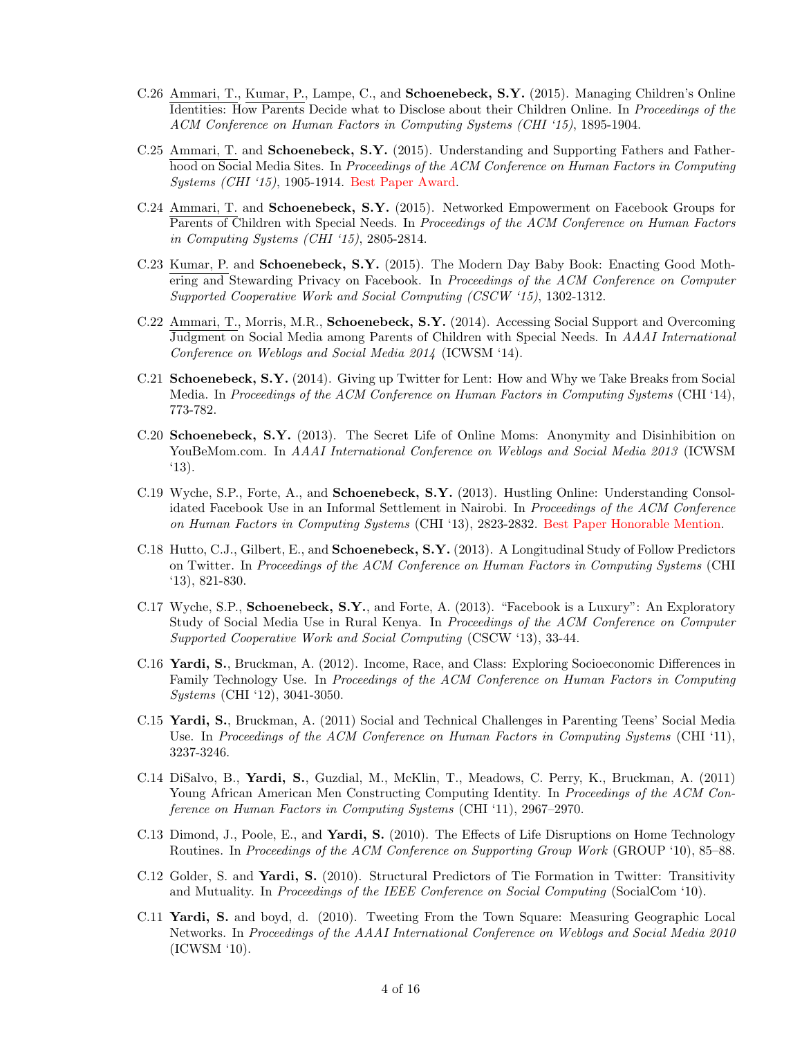- C.26 Ammari, T., Kumar, P., Lampe, C., and Schoenebeck, S.Y. (2015). Managing Children's Online Identities: How Parents Decide what to Disclose about their Children Online. In Proceedings of the ACM Conference on Human Factors in Computing Systems (CHI '15), 1895-1904.
- C.25 Ammari, T. and Schoenebeck, S.Y. (2015). Understanding and Supporting Fathers and Fatherhood on Social Media Sites. In Proceedings of the ACM Conference on Human Factors in Computing Systems (CHI '15), 1905-1914. Best Paper Award.
- C.24 Ammari, T. and Schoenebeck, S.Y. (2015). Networked Empowerment on Facebook Groups for Parents of Children with Special Needs. In *Proceedings of the ACM Conference on Human Factors* in Computing Systems (CHI '15), 2805-2814.
- C.23 Kumar, P. and Schoenebeck, S.Y. (2015). The Modern Day Baby Book: Enacting Good Mothering and Stewarding Privacy on Facebook. In Proceedings of the ACM Conference on Computer Supported Cooperative Work and Social Computing (CSCW '15), 1302-1312.
- C.22 Ammari, T., Morris, M.R., Schoenebeck, S.Y. (2014). Accessing Social Support and Overcoming Judgment on Social Media among Parents of Children with Special Needs. In AAAI International Conference on Weblogs and Social Media 2014 (ICWSM '14).
- C.21 Schoenebeck, S.Y. (2014). Giving up Twitter for Lent: How and Why we Take Breaks from Social Media. In Proceedings of the ACM Conference on Human Factors in Computing Systems (CHI '14), 773-782.
- C.20 Schoenebeck, S.Y. (2013). The Secret Life of Online Moms: Anonymity and Disinhibition on YouBeMom.com. In AAAI International Conference on Weblogs and Social Media 2013 (ICWSM '13).
- C.19 Wyche, S.P., Forte, A., and Schoenebeck, S.Y. (2013). Hustling Online: Understanding Consolidated Facebook Use in an Informal Settlement in Nairobi. In Proceedings of the ACM Conference on Human Factors in Computing Systems (CHI '13), 2823-2832. Best Paper Honorable Mention.
- C.18 Hutto, C.J., Gilbert, E., and Schoenebeck, S.Y. (2013). A Longitudinal Study of Follow Predictors on Twitter. In Proceedings of the ACM Conference on Human Factors in Computing Systems (CHI '13), 821-830.
- C.17 Wyche, S.P., Schoenebeck, S.Y., and Forte, A. (2013). "Facebook is a Luxury": An Exploratory Study of Social Media Use in Rural Kenya. In Proceedings of the ACM Conference on Computer Supported Cooperative Work and Social Computing (CSCW '13), 33-44.
- C.16 Yardi, S., Bruckman, A. (2012). Income, Race, and Class: Exploring Socioeconomic Differences in Family Technology Use. In Proceedings of the ACM Conference on Human Factors in Computing Systems (CHI '12), 3041-3050.
- C.15 Yardi, S., Bruckman, A. (2011) Social and Technical Challenges in Parenting Teens' Social Media Use. In Proceedings of the ACM Conference on Human Factors in Computing Systems (CHI '11), 3237-3246.
- C.14 DiSalvo, B., Yardi, S., Guzdial, M., McKlin, T., Meadows, C. Perry, K., Bruckman, A. (2011) Young African American Men Constructing Computing Identity. In Proceedings of the ACM Conference on Human Factors in Computing Systems (CHI '11), 2967–2970.
- C.13 Dimond, J., Poole, E., and Yardi, S. (2010). The Effects of Life Disruptions on Home Technology Routines. In Proceedings of the ACM Conference on Supporting Group Work (GROUP '10), 85–88.
- C.12 Golder, S. and Yardi, S. (2010). Structural Predictors of Tie Formation in Twitter: Transitivity and Mutuality. In Proceedings of the IEEE Conference on Social Computing (SocialCom '10).
- C.11 Yardi, S. and boyd, d. (2010). Tweeting From the Town Square: Measuring Geographic Local Networks. In Proceedings of the AAAI International Conference on Weblogs and Social Media 2010 (ICWSM '10).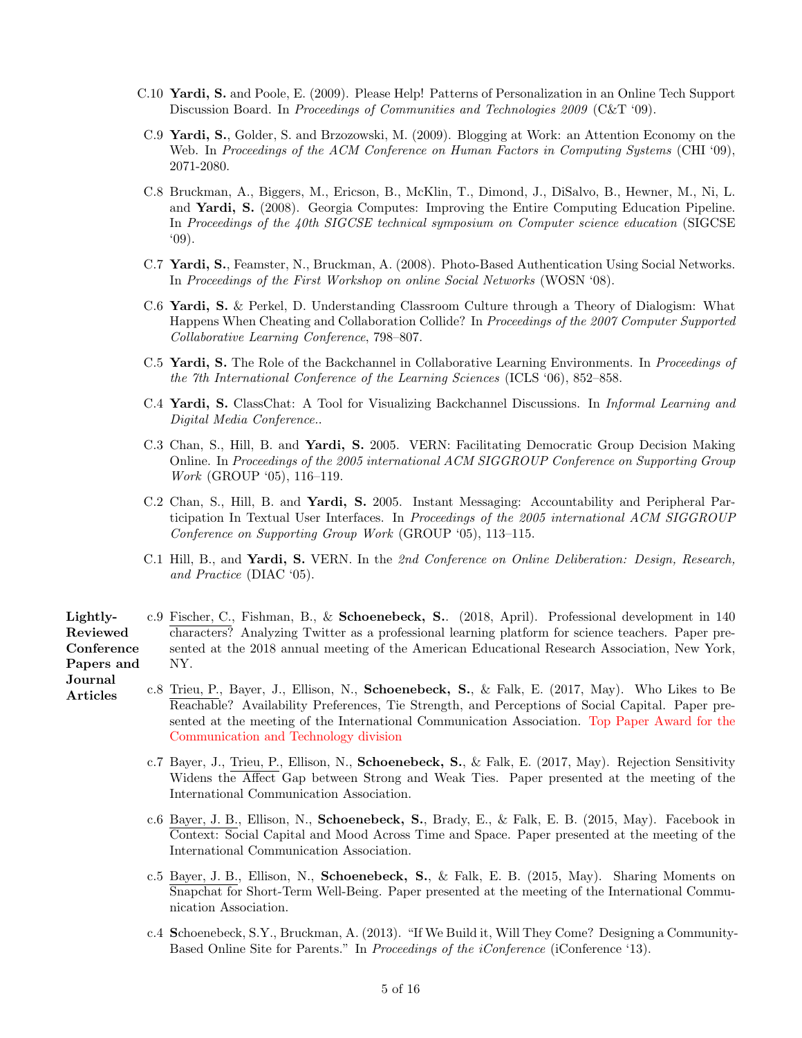- C.10 Yardi, S. and Poole, E. (2009). Please Help! Patterns of Personalization in an Online Tech Support Discussion Board. In Proceedings of Communities and Technologies 2009 (C&T '09).
- C.9 Yardi, S., Golder, S. and Brzozowski, M. (2009). Blogging at Work: an Attention Economy on the Web. In Proceedings of the ACM Conference on Human Factors in Computing Systems (CHI '09), 2071-2080.
- C.8 Bruckman, A., Biggers, M., Ericson, B., McKlin, T., Dimond, J., DiSalvo, B., Hewner, M., Ni, L. and Yardi, S. (2008). Georgia Computes: Improving the Entire Computing Education Pipeline. In Proceedings of the 40th SIGCSE technical symposium on Computer science education (SIGCSE  $(09)$ .
- C.7 Yardi, S., Feamster, N., Bruckman, A. (2008). Photo-Based Authentication Using Social Networks. In Proceedings of the First Workshop on online Social Networks (WOSN '08).
- C.6 Yardi, S. & Perkel, D. Understanding Classroom Culture through a Theory of Dialogism: What Happens When Cheating and Collaboration Collide? In Proceedings of the 2007 Computer Supported Collaborative Learning Conference, 798–807.
- C.5 Yardi, S. The Role of the Backchannel in Collaborative Learning Environments. In Proceedings of the 7th International Conference of the Learning Sciences (ICLS '06), 852–858.
- C.4 Yardi, S. ClassChat: A Tool for Visualizing Backchannel Discussions. In Informal Learning and Digital Media Conference..
- C.3 Chan, S., Hill, B. and Yardi, S. 2005. VERN: Facilitating Democratic Group Decision Making Online. In Proceedings of the 2005 international ACM SIGGROUP Conference on Supporting Group Work (GROUP '05), 116–119.
- C.2 Chan, S., Hill, B. and Yardi, S. 2005. Instant Messaging: Accountability and Peripheral Participation In Textual User Interfaces. In Proceedings of the 2005 international ACM SIGGROUP Conference on Supporting Group Work (GROUP '05), 113–115.
- C.1 Hill, B., and Yardi, S. VERN. In the 2nd Conference on Online Deliberation: Design, Research, and Practice (DIAC '05).
- Lightly-Reviewed **Conference** Papers and c.9 Fischer, C., Fishman, B., & Schoenebeck, S.. (2018, April). Professional development in 140 characters? Analyzing Twitter as a professional learning platform for science teachers. Paper presented at the 2018 annual meeting of the American Educational Research Association, New York, NY.
- Journal Articles
- c.8 Trieu, P., Bayer, J., Ellison, N., Schoenebeck, S., & Falk, E. (2017, May). Who Likes to Be Reachable? Availability Preferences, Tie Strength, and Perceptions of Social Capital. Paper presented at the meeting of the International Communication Association. Top Paper Award for the Communication and Technology division
	- c.7 Bayer, J., Trieu, P., Ellison, N., Schoenebeck, S., & Falk, E. (2017, May). Rejection Sensitivity Widens the Affect Gap between Strong and Weak Ties. Paper presented at the meeting of the International Communication Association.
	- c.6 Bayer, J. B., Ellison, N., Schoenebeck, S., Brady, E., & Falk, E. B. (2015, May). Facebook in Context: Social Capital and Mood Across Time and Space. Paper presented at the meeting of the International Communication Association.
	- c.5 Bayer, J. B., Ellison, N., Schoenebeck, S., & Falk, E. B. (2015, May). Sharing Moments on Snapchat for Short-Term Well-Being. Paper presented at the meeting of the International Communication Association.
	- c.4 Schoenebeck, S.Y., Bruckman, A. (2013). "If We Build it, Will They Come? Designing a Community-Based Online Site for Parents." In Proceedings of the iConference (iConference '13).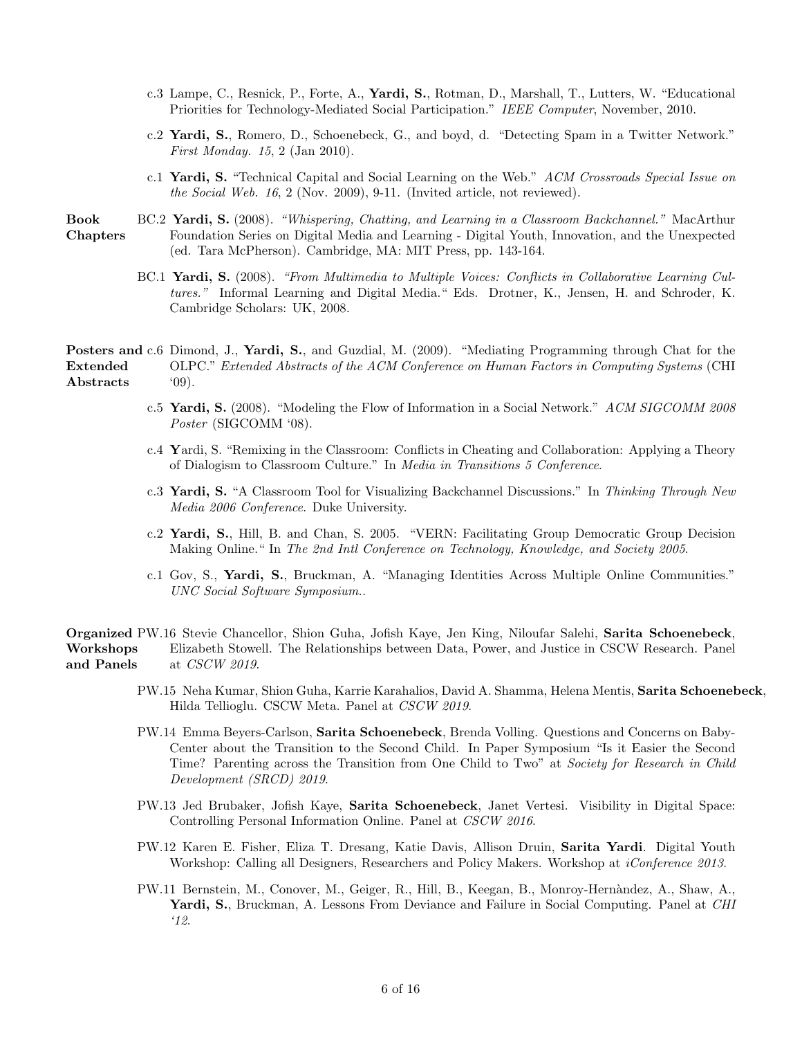- c.3 Lampe, C., Resnick, P., Forte, A., Yardi, S., Rotman, D., Marshall, T., Lutters, W. "Educational Priorities for Technology-Mediated Social Participation." IEEE Computer, November, 2010.
- c.2 Yardi, S., Romero, D., Schoenebeck, G., and boyd, d. "Detecting Spam in a Twitter Network." First Monday. 15, 2 (Jan 2010).
- c.1 Yardi, S. "Technical Capital and Social Learning on the Web." ACM Crossroads Special Issue on the Social Web. 16, 2 (Nov. 2009), 9-11. (Invited article, not reviewed).

Book Chapters BC.2 Yardi, S. (2008). "Whispering, Chatting, and Learning in a Classroom Backchannel." MacArthur Foundation Series on Digital Media and Learning - Digital Youth, Innovation, and the Unexpected (ed. Tara McPherson). Cambridge, MA: MIT Press, pp. 143-164.

> BC.1 Yardi, S. (2008). "From Multimedia to Multiple Voices: Conflicts in Collaborative Learning Cultures." Informal Learning and Digital Media." Eds. Drotner, K., Jensen, H. and Schroder, K. Cambridge Scholars: UK, 2008.

Posters and c.6 Dimond, J., Yardi, S., and Guzdial, M. (2009). "Mediating Programming through Chat for the Extended Abstracts OLPC." Extended Abstracts of the ACM Conference on Human Factors in Computing Systems (CHI '09).

- c.5 Yardi, S. (2008). "Modeling the Flow of Information in a Social Network." ACM SIGCOMM 2008 Poster (SIGCOMM '08).
- c.4 Yardi, S. "Remixing in the Classroom: Conflicts in Cheating and Collaboration: Applying a Theory of Dialogism to Classroom Culture." In Media in Transitions 5 Conference.
- c.3 Yardi, S. "A Classroom Tool for Visualizing Backchannel Discussions." In Thinking Through New Media 2006 Conference. Duke University.
- c.2 Yardi, S., Hill, B. and Chan, S. 2005. "VERN: Facilitating Group Democratic Group Decision Making Online." In The 2nd Intl Conference on Technology, Knowledge, and Society 2005.
- c.1 Gov, S., Yardi, S., Bruckman, A. "Managing Identities Across Multiple Online Communities." UNC Social Software Symposium..

Organized PW.16 Stevie Chancellor, Shion Guha, Jofish Kaye, Jen King, Niloufar Salehi, Sarita Schoenebeck, Workshops and Panels Elizabeth Stowell. The Relationships between Data, Power, and Justice in CSCW Research. Panel at CSCW 2019.

- PW.15 Neha Kumar, Shion Guha, Karrie Karahalios, David A. Shamma, Helena Mentis, Sarita Schoenebeck, Hilda Tellioglu. CSCW Meta. Panel at CSCW 2019.
- PW.14 Emma Beyers-Carlson, Sarita Schoenebeck, Brenda Volling. Questions and Concerns on Baby-Center about the Transition to the Second Child. In Paper Symposium "Is it Easier the Second Time? Parenting across the Transition from One Child to Two" at Society for Research in Child Development (SRCD) 2019.
- PW.13 Jed Brubaker, Jofish Kaye, Sarita Schoenebeck, Janet Vertesi. Visibility in Digital Space: Controlling Personal Information Online. Panel at CSCW 2016.
- PW.12 Karen E. Fisher, Eliza T. Dresang, Katie Davis, Allison Druin, Sarita Yardi. Digital Youth Workshop: Calling all Designers, Researchers and Policy Makers. Workshop at *iConference 2013*.
- PW.11 Bernstein, M., Conover, M., Geiger, R., Hill, B., Keegan, B., Monroy-Hern`andez, A., Shaw, A., Yardi, S., Bruckman, A. Lessons From Deviance and Failure in Social Computing. Panel at CHI '12.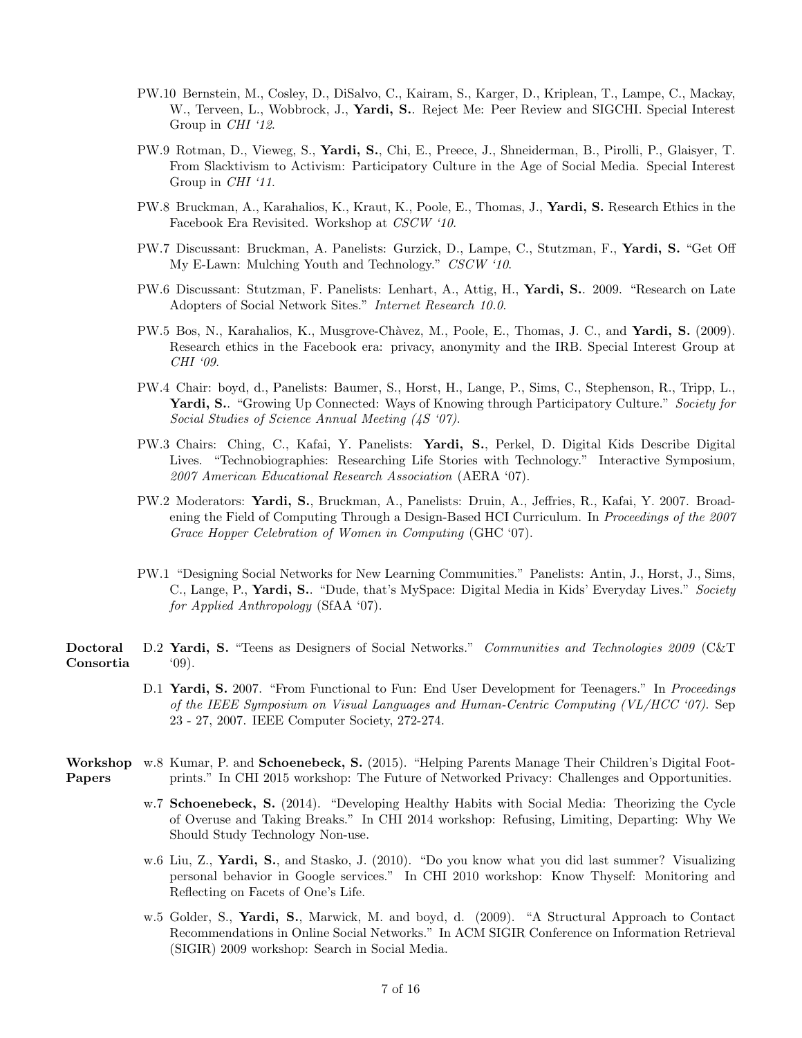- PW.10 Bernstein, M., Cosley, D., DiSalvo, C., Kairam, S., Karger, D., Kriplean, T., Lampe, C., Mackay, W., Terveen, L., Wobbrock, J., Yardi, S.. Reject Me: Peer Review and SIGCHI. Special Interest Group in CHI '12.
- PW.9 Rotman, D., Vieweg, S., Yardi, S., Chi, E., Preece, J., Shneiderman, B., Pirolli, P., Glaisyer, T. From Slacktivism to Activism: Participatory Culture in the Age of Social Media. Special Interest Group in CHI '11.
- PW.8 Bruckman, A., Karahalios, K., Kraut, K., Poole, E., Thomas, J., Yardi, S. Research Ethics in the Facebook Era Revisited. Workshop at CSCW '10.
- PW.7 Discussant: Bruckman, A. Panelists: Gurzick, D., Lampe, C., Stutzman, F., Yardi, S. "Get Off My E-Lawn: Mulching Youth and Technology." CSCW '10.
- PW.6 Discussant: Stutzman, F. Panelists: Lenhart, A., Attig, H., Yardi, S.. 2009. "Research on Late Adopters of Social Network Sites." Internet Research 10.0.
- PW.5 Bos, N., Karahalios, K., Musgrove-Chàvez, M., Poole, E., Thomas, J. C., and Yardi, S. (2009). Research ethics in the Facebook era: privacy, anonymity and the IRB. Special Interest Group at CHI '09.
- PW.4 Chair: boyd, d., Panelists: Baumer, S., Horst, H., Lange, P., Sims, C., Stephenson, R., Tripp, L., Yardi, S.. "Growing Up Connected: Ways of Knowing through Participatory Culture." Society for Social Studies of Science Annual Meeting (4S '07).
- PW.3 Chairs: Ching, C., Kafai, Y. Panelists: Yardi, S., Perkel, D. Digital Kids Describe Digital Lives. "Technobiographies: Researching Life Stories with Technology." Interactive Symposium, 2007 American Educational Research Association (AERA '07).
- PW.2 Moderators: Yardi, S., Bruckman, A., Panelists: Druin, A., Jeffries, R., Kafai, Y. 2007. Broadening the Field of Computing Through a Design-Based HCI Curriculum. In Proceedings of the 2007 Grace Hopper Celebration of Women in Computing (GHC '07).
- PW.1 "Designing Social Networks for New Learning Communities." Panelists: Antin, J., Horst, J., Sims, C., Lange, P., Yardi, S.. "Dude, that's MySpace: Digital Media in Kids' Everyday Lives." Society for Applied Anthropology (SfAA '07).
- Doctoral Consortia D.2 Yardi, S. "Teens as Designers of Social Networks." Communities and Technologies 2009 (C&T) '09).
	- D.1 Yardi, S. 2007. "From Functional to Fun: End User Development for Teenagers." In Proceedings of the IEEE Symposium on Visual Languages and Human-Centric Computing (VL/HCC '07). Sep 23 - 27, 2007. IEEE Computer Society, 272-274.
- Workshop w.8 Kumar, P. and Schoenebeck, S. (2015). "Helping Parents Manage Their Children's Digital Foot-Papers prints." In CHI 2015 workshop: The Future of Networked Privacy: Challenges and Opportunities.
	- w.7 Schoenebeck, S. (2014). "Developing Healthy Habits with Social Media: Theorizing the Cycle of Overuse and Taking Breaks." In CHI 2014 workshop: Refusing, Limiting, Departing: Why We Should Study Technology Non-use.
	- w.6 Liu, Z., Yardi, S., and Stasko, J. (2010). "Do you know what you did last summer? Visualizing personal behavior in Google services." In CHI 2010 workshop: Know Thyself: Monitoring and Reflecting on Facets of One's Life.
	- w.5 Golder, S., Yardi, S., Marwick, M. and boyd, d. (2009). "A Structural Approach to Contact Recommendations in Online Social Networks." In ACM SIGIR Conference on Information Retrieval (SIGIR) 2009 workshop: Search in Social Media.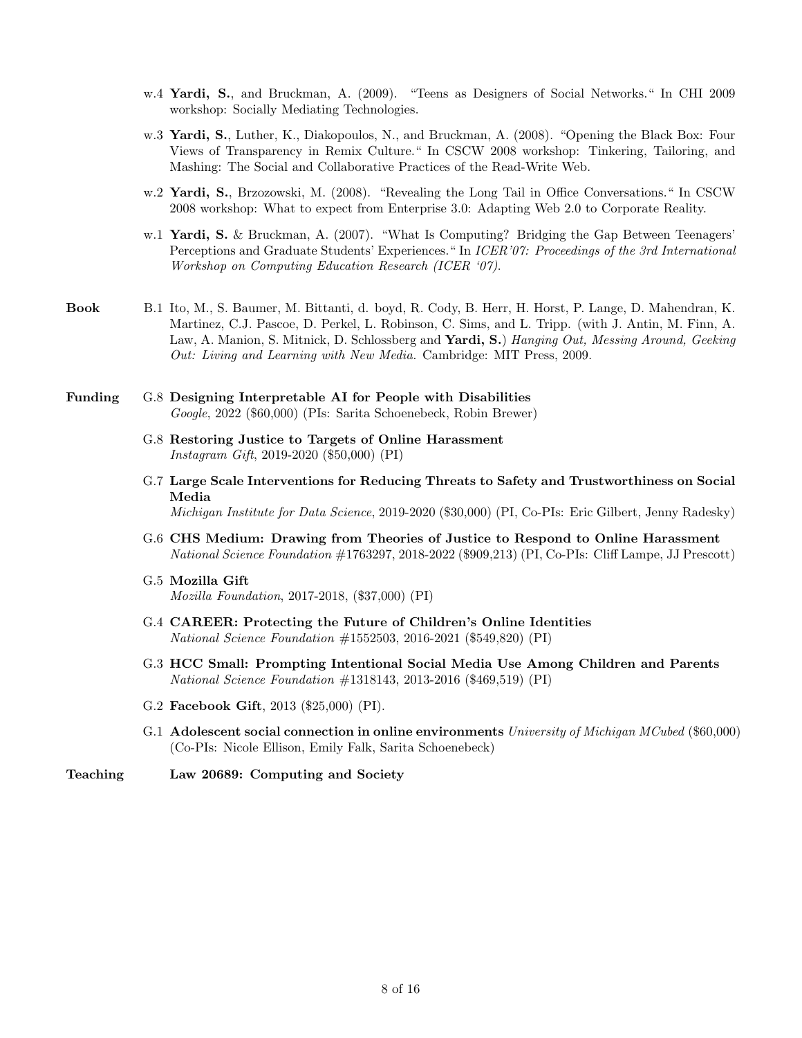- w.4 Yardi, S., and Bruckman, A. (2009). "Teens as Designers of Social Networks." In CHI 2009 workshop: Socially Mediating Technologies.
- w.3 Yardi, S., Luther, K., Diakopoulos, N., and Bruckman, A. (2008). "Opening the Black Box: Four Views of Transparency in Remix Culture." In CSCW 2008 workshop: Tinkering, Tailoring, and Mashing: The Social and Collaborative Practices of the Read-Write Web.
- w.2 Yardi, S., Brzozowski, M. (2008). "Revealing the Long Tail in Office Conversations." In CSCW 2008 workshop: What to expect from Enterprise 3.0: Adapting Web 2.0 to Corporate Reality.
- w.1 Yardi, S. & Bruckman, A. (2007). "What Is Computing? Bridging the Gap Between Teenagers' Perceptions and Graduate Students' Experiences." In ICER'07: Proceedings of the 3rd International Workshop on Computing Education Research (ICER '07).
- Book B.1 Ito, M., S. Baumer, M. Bittanti, d. boyd, R. Cody, B. Herr, H. Horst, P. Lange, D. Mahendran, K. Martinez, C.J. Pascoe, D. Perkel, L. Robinson, C. Sims, and L. Tripp. (with J. Antin, M. Finn, A. Law, A. Manion, S. Mitnick, D. Schlossberg and Yardi, S.) Hanging Out, Messing Around, Geeking Out: Living and Learning with New Media. Cambridge: MIT Press, 2009.
- Funding G.8 Designing Interpretable AI for People with Disabilities Google, 2022 (\$60,000) (PIs: Sarita Schoenebeck, Robin Brewer)
	- G.8 Restoring Justice to Targets of Online Harassment Instagram Gift, 2019-2020 (\$50,000) (PI)
	- G.7 Large Scale Interventions for Reducing Threats to Safety and Trustworthiness on Social Media

Michigan Institute for Data Science, 2019-2020 (\$30,000) (PI, Co-PIs: Eric Gilbert, Jenny Radesky)

- G.6 CHS Medium: Drawing from Theories of Justice to Respond to Online Harassment National Science Foundation #1763297, 2018-2022 (\$909,213) (PI, Co-PIs: Cliff Lampe, JJ Prescott)
- G.5 Mozilla Gift Mozilla Foundation, 2017-2018, (\$37,000) (PI)
- G.4 CAREER: Protecting the Future of Children's Online Identities National Science Foundation #1552503, 2016-2021 (\$549,820) (PI)
- G.3 HCC Small: Prompting Intentional Social Media Use Among Children and Parents National Science Foundation #1318143, 2013-2016 (\$469,519) (PI)
- G.2 Facebook Gift, 2013 (\$25,000) (PI).
- G.1 Adolescent social connection in online environments University of Michigan MCubed (\$60,000) (Co-PIs: Nicole Ellison, Emily Falk, Sarita Schoenebeck)

Teaching Law 20689: Computing and Society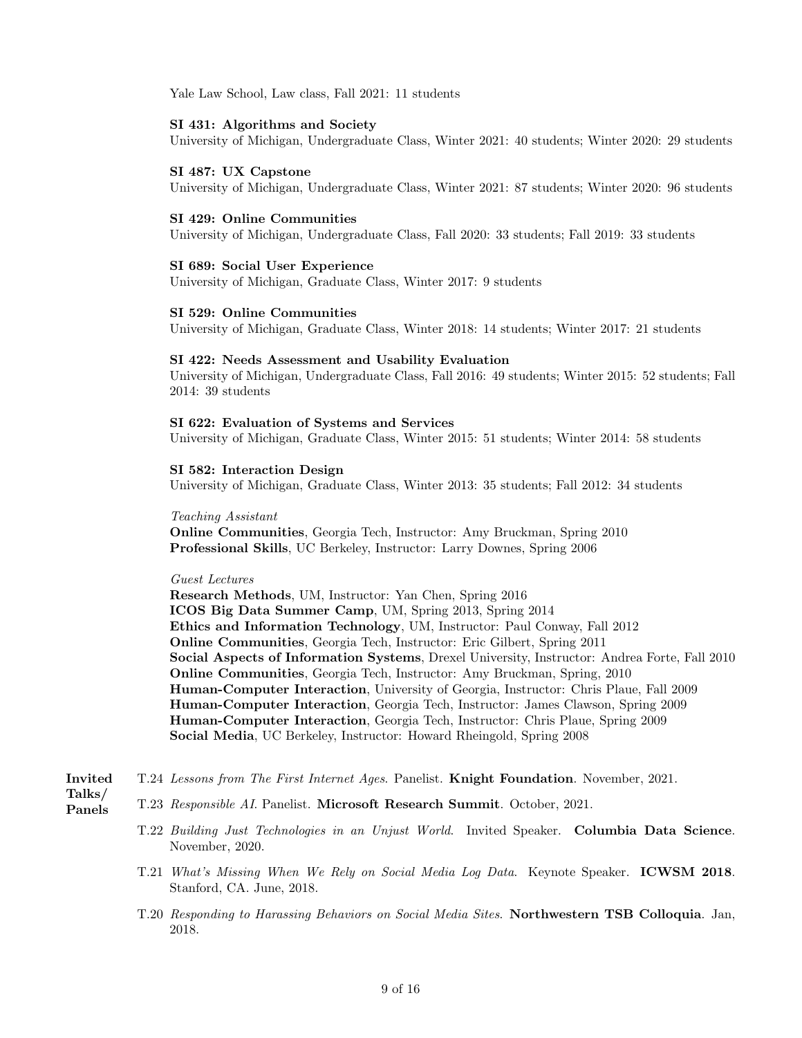Yale Law School, Law class, Fall 2021: 11 students

#### SI 431: Algorithms and Society

University of Michigan, Undergraduate Class, Winter 2021: 40 students; Winter 2020: 29 students

### SI 487: UX Capstone

University of Michigan, Undergraduate Class, Winter 2021: 87 students; Winter 2020: 96 students

### SI 429: Online Communities

University of Michigan, Undergraduate Class, Fall 2020: 33 students; Fall 2019: 33 students

### SI 689: Social User Experience

University of Michigan, Graduate Class, Winter 2017: 9 students

### SI 529: Online Communities

University of Michigan, Graduate Class, Winter 2018: 14 students; Winter 2017: 21 students

#### SI 422: Needs Assessment and Usability Evaluation

University of Michigan, Undergraduate Class, Fall 2016: 49 students; Winter 2015: 52 students; Fall 2014: 39 students

### SI 622: Evaluation of Systems and Services

University of Michigan, Graduate Class, Winter 2015: 51 students; Winter 2014: 58 students

#### SI 582: Interaction Design

University of Michigan, Graduate Class, Winter 2013: 35 students; Fall 2012: 34 students

### Teaching Assistant

Online Communities, Georgia Tech, Instructor: Amy Bruckman, Spring 2010 Professional Skills, UC Berkeley, Instructor: Larry Downes, Spring 2006

#### Guest Lectures

Research Methods, UM, Instructor: Yan Chen, Spring 2016 ICOS Big Data Summer Camp, UM, Spring 2013, Spring 2014 Ethics and Information Technology, UM, Instructor: Paul Conway, Fall 2012 Online Communities, Georgia Tech, Instructor: Eric Gilbert, Spring 2011 Social Aspects of Information Systems, Drexel University, Instructor: Andrea Forte, Fall 2010 Online Communities, Georgia Tech, Instructor: Amy Bruckman, Spring, 2010 Human-Computer Interaction, University of Georgia, Instructor: Chris Plaue, Fall 2009 Human-Computer Interaction, Georgia Tech, Instructor: James Clawson, Spring 2009 Human-Computer Interaction, Georgia Tech, Instructor: Chris Plaue, Spring 2009 Social Media, UC Berkeley, Instructor: Howard Rheingold, Spring 2008

#### Invited T.24 Lessons from The First Internet Ages. Panelist. Knight Foundation. November, 2021.

Talks/ Panels

- T.23 Responsible AI. Panelist. Microsoft Research Summit. October, 2021.
	- T.22 Building Just Technologies in an Unjust World. Invited Speaker. Columbia Data Science. November, 2020.
	- T.21 What's Missing When We Rely on Social Media Log Data. Keynote Speaker. ICWSM 2018. Stanford, CA. June, 2018.
	- T.20 Responding to Harassing Behaviors on Social Media Sites. Northwestern TSB Colloquia. Jan, 2018.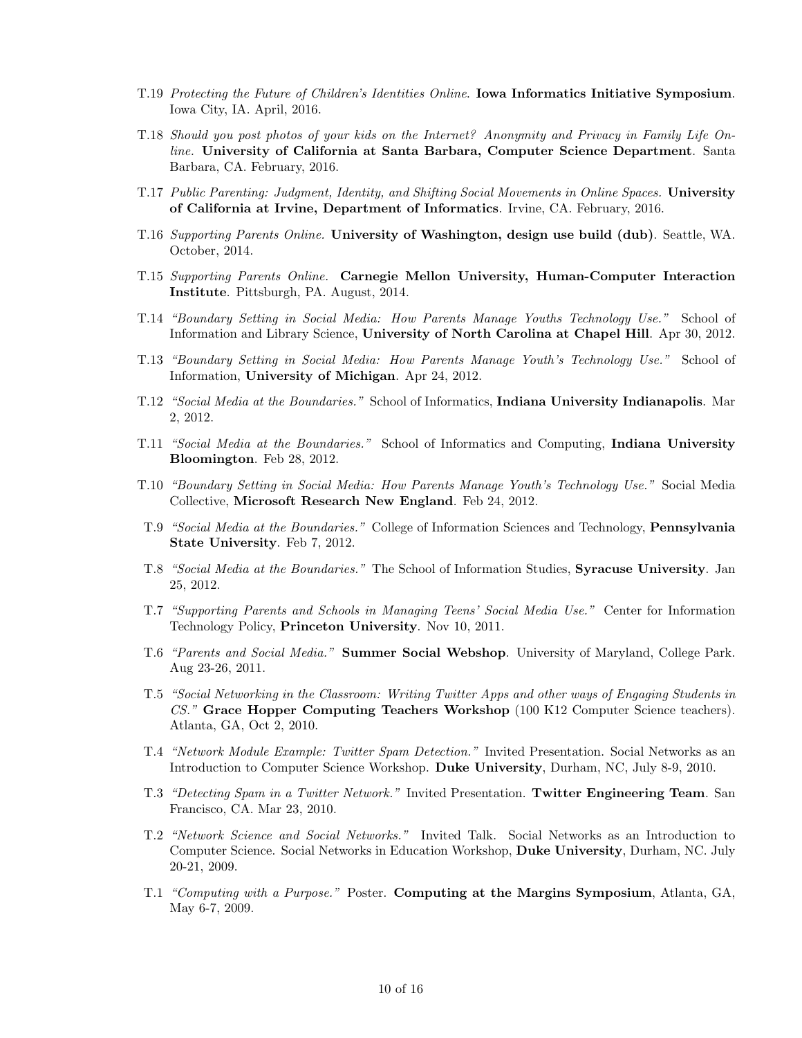- T.19 Protecting the Future of Children's Identities Online. Iowa Informatics Initiative Symposium. Iowa City, IA. April, 2016.
- T.18 Should you post photos of your kids on the Internet? Anonymity and Privacy in Family Life Online. University of California at Santa Barbara, Computer Science Department. Santa Barbara, CA. February, 2016.
- T.17 Public Parenting: Judgment, Identity, and Shifting Social Movements in Online Spaces. University of California at Irvine, Department of Informatics. Irvine, CA. February, 2016.
- T.16 Supporting Parents Online. University of Washington, design use build (dub). Seattle, WA. October, 2014.
- T.15 Supporting Parents Online. Carnegie Mellon University, Human-Computer Interaction Institute. Pittsburgh, PA. August, 2014.
- T.14 "Boundary Setting in Social Media: How Parents Manage Youths Technology Use." School of Information and Library Science, University of North Carolina at Chapel Hill. Apr 30, 2012.
- T.13 "Boundary Setting in Social Media: How Parents Manage Youth's Technology Use." School of Information, University of Michigan. Apr 24, 2012.
- T.12 "Social Media at the Boundaries." School of Informatics, Indiana University Indianapolis. Mar 2, 2012.
- T.11 "Social Media at the Boundaries." School of Informatics and Computing, Indiana University Bloomington. Feb 28, 2012.
- T.10 "Boundary Setting in Social Media: How Parents Manage Youth's Technology Use." Social Media Collective, Microsoft Research New England. Feb 24, 2012.
- T.9 "Social Media at the Boundaries." College of Information Sciences and Technology, Pennsylvania State University. Feb 7, 2012.
- T.8 "Social Media at the Boundaries." The School of Information Studies, Syracuse University. Jan 25, 2012.
- T.7 "Supporting Parents and Schools in Managing Teens' Social Media Use." Center for Information Technology Policy, Princeton University. Nov 10, 2011.
- T.6 "Parents and Social Media." Summer Social Webshop. University of Maryland, College Park. Aug 23-26, 2011.
- T.5 "Social Networking in the Classroom: Writing Twitter Apps and other ways of Engaging Students in CS." Grace Hopper Computing Teachers Workshop (100 K12 Computer Science teachers). Atlanta, GA, Oct 2, 2010.
- T.4 "Network Module Example: Twitter Spam Detection." Invited Presentation. Social Networks as an Introduction to Computer Science Workshop. Duke University, Durham, NC, July 8-9, 2010.
- T.3 "Detecting Spam in a Twitter Network." Invited Presentation. Twitter Engineering Team. San Francisco, CA. Mar 23, 2010.
- T.2 "Network Science and Social Networks." Invited Talk. Social Networks as an Introduction to Computer Science. Social Networks in Education Workshop, Duke University, Durham, NC. July 20-21, 2009.
- T.1 "Computing with a Purpose." Poster. Computing at the Margins Symposium, Atlanta, GA, May 6-7, 2009.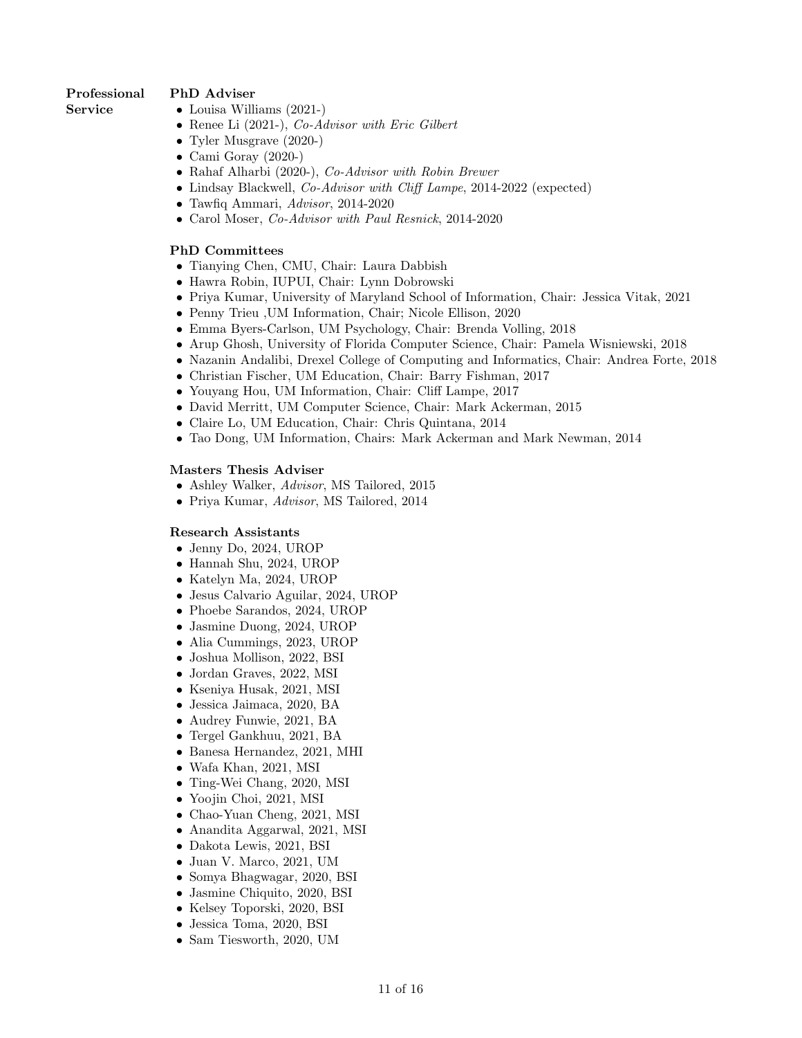# Professional

# PhD Adviser

Service

- Louisa Williams (2021-)
- Renee Li (2021-), Co-Advisor with Eric Gilbert
- Tyler Musgrave (2020-)
- Cami Goray (2020-)
- Rahaf Alharbi (2020-), Co-Advisor with Robin Brewer
- Lindsay Blackwell, *Co-Advisor with Cliff Lampe*, 2014-2022 (expected)
- Tawfiq Ammari, Advisor, 2014-2020
- Carol Moser, Co-Advisor with Paul Resnick, 2014-2020

# PhD Committees

- Tianying Chen, CMU, Chair: Laura Dabbish
- Hawra Robin, IUPUI, Chair: Lynn Dobrowski
- Priya Kumar, University of Maryland School of Information, Chair: Jessica Vitak, 2021
- Penny Trieu , UM Information, Chair; Nicole Ellison, 2020
- Emma Byers-Carlson, UM Psychology, Chair: Brenda Volling, 2018
- Arup Ghosh, University of Florida Computer Science, Chair: Pamela Wisniewski, 2018
- Nazanin Andalibi, Drexel College of Computing and Informatics, Chair: Andrea Forte, 2018
- Christian Fischer, UM Education, Chair: Barry Fishman, 2017
- Youyang Hou, UM Information, Chair: Cliff Lampe, 2017
- David Merritt, UM Computer Science, Chair: Mark Ackerman, 2015
- Claire Lo, UM Education, Chair: Chris Quintana, 2014
- Tao Dong, UM Information, Chairs: Mark Ackerman and Mark Newman, 2014

# Masters Thesis Adviser

- Ashley Walker, Advisor, MS Tailored, 2015
- Priya Kumar, Advisor, MS Tailored, 2014

## Research Assistants

- Jenny Do, 2024, UROP
- Hannah Shu, 2024, UROP
- Katelyn Ma, 2024, UROP
- Jesus Calvario Aguilar, 2024, UROP
- Phoebe Sarandos, 2024, UROP
- Jasmine Duong, 2024, UROP
- Alia Cummings, 2023, UROP
- Joshua Mollison, 2022, BSI
- Jordan Graves, 2022, MSI
- Kseniya Husak, 2021, MSI
- Jessica Jaimaca, 2020, BA
- Audrey Funwie, 2021, BA
- Tergel Gankhuu, 2021, BA
- Banesa Hernandez, 2021, MHI
- Wafa Khan, 2021, MSI
- Ting-Wei Chang, 2020, MSI
- Yoojin Choi, 2021, MSI
- Chao-Yuan Cheng, 2021, MSI
- Anandita Aggarwal, 2021, MSI
- Dakota Lewis, 2021, BSI
- Juan V. Marco, 2021, UM
- Somya Bhagwagar, 2020, BSI
- Jasmine Chiquito, 2020, BSI
- Kelsey Toporski, 2020, BSI
- Jessica Toma, 2020, BSI
- Sam Tiesworth, 2020, UM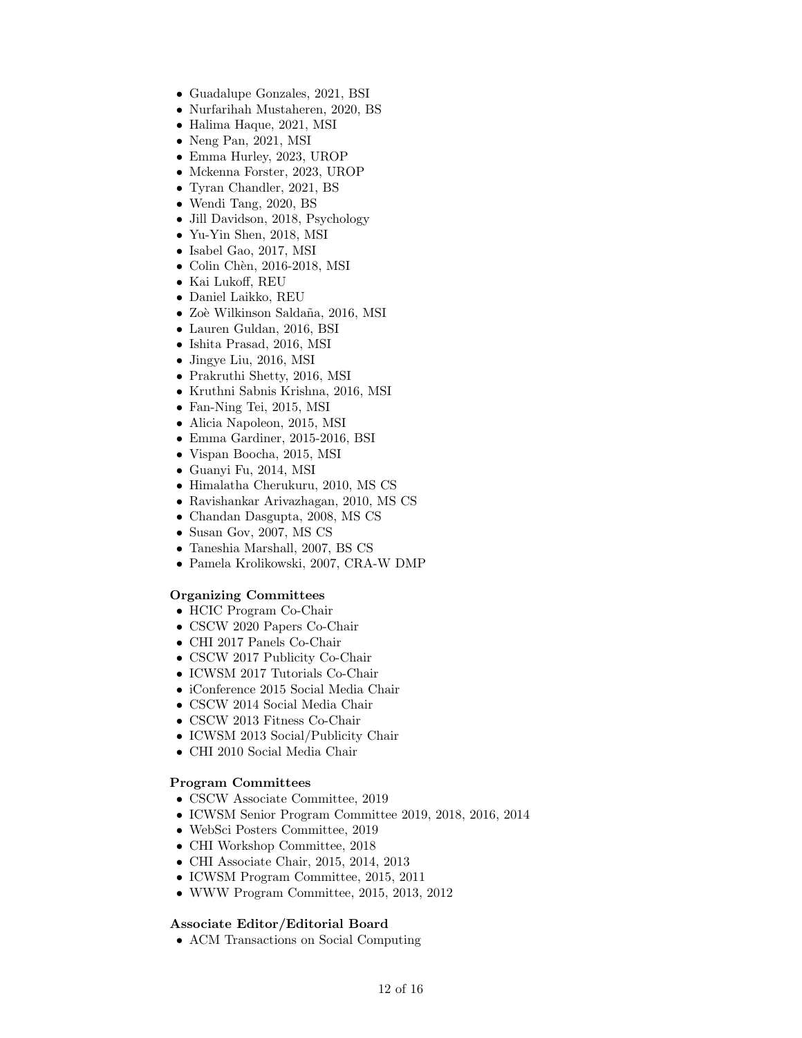- Guadalupe Gonzales, 2021, BSI
- Nurfarihah Mustaheren, 2020, BS
- Halima Haque, 2021, MSI
- Neng Pan, 2021, MSI
- Emma Hurley, 2023, UROP
- Mckenna Forster, 2023, UROP
- Tyran Chandler, 2021, BS
- Wendi Tang, 2020, BS
- Jill Davidson, 2018, Psychology
- Yu-Yin Shen, 2018, MSI
- Isabel Gao, 2017, MSI
- Colin Chèn, 2016-2018, MSI
- Kai Lukoff, REU
- Daniel Laikko, REU
- Zoè Wilkinson Saldaña, 2016, MSI
- Lauren Guldan, 2016, BSI
- Ishita Prasad, 2016, MSI
- Jingye Liu, 2016, MSI
- Prakruthi Shetty, 2016, MSI
- Kruthni Sabnis Krishna, 2016, MSI
- Fan-Ning Tei, 2015, MSI
- Alicia Napoleon, 2015, MSI
- Emma Gardiner, 2015-2016, BSI
- Vispan Boocha, 2015, MSI
- Guanyi Fu, 2014, MSI
- Himalatha Cherukuru, 2010, MS CS
- Ravishankar Arivazhagan, 2010, MS CS
- Chandan Dasgupta, 2008, MS CS
- Susan Gov, 2007, MS CS
- Taneshia Marshall, 2007, BS CS
- Pamela Krolikowski, 2007, CRA-W DMP

## Organizing Committees

- HCIC Program Co-Chair
- CSCW 2020 Papers Co-Chair
- CHI 2017 Panels Co-Chair
- CSCW 2017 Publicity Co-Chair
- ICWSM 2017 Tutorials Co-Chair
- iConference 2015 Social Media Chair
- CSCW 2014 Social Media Chair
- CSCW 2013 Fitness Co-Chair
- ICWSM 2013 Social/Publicity Chair
- CHI 2010 Social Media Chair

## Program Committees

- CSCW Associate Committee, 2019
- ICWSM Senior Program Committee 2019, 2018, 2016, 2014
- WebSci Posters Committee, 2019
- CHI Workshop Committee, 2018
- CHI Associate Chair, 2015, 2014, 2013
- ICWSM Program Committee, 2015, 2011
- WWW Program Committee, 2015, 2013, 2012

## Associate Editor/Editorial Board

• ACM Transactions on Social Computing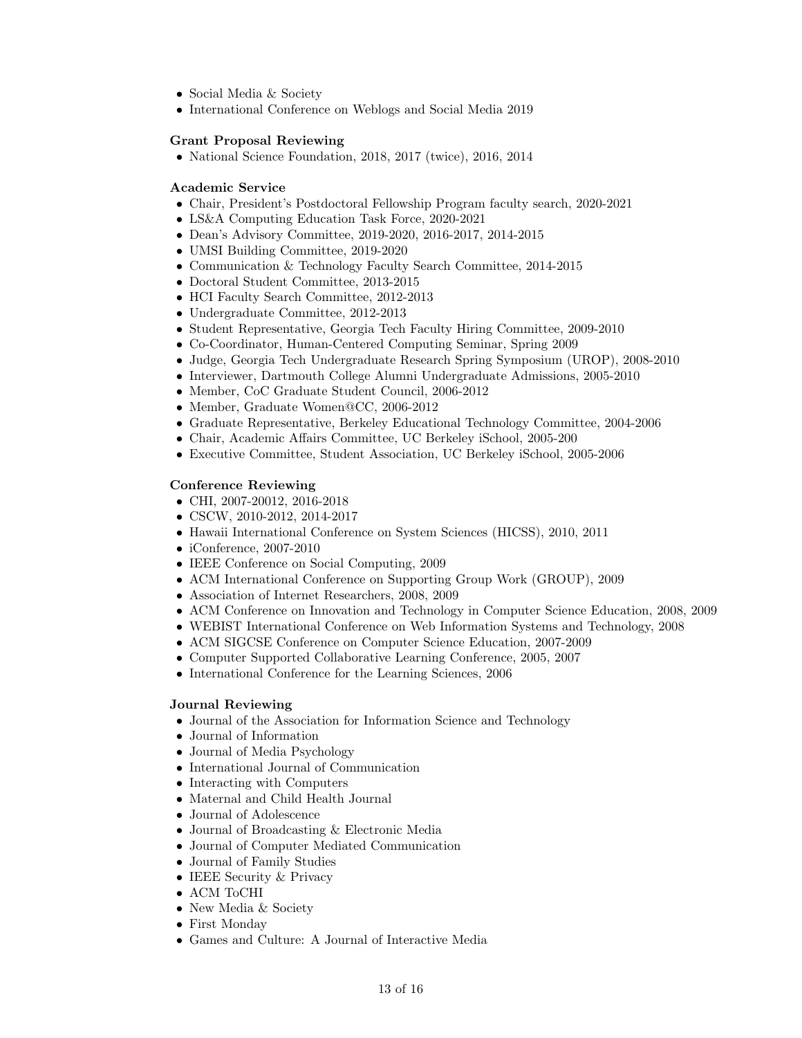- Social Media & Society
- International Conference on Weblogs and Social Media 2019

### Grant Proposal Reviewing

• National Science Foundation, 2018, 2017 (twice), 2016, 2014

### Academic Service

- Chair, President's Postdoctoral Fellowship Program faculty search, 2020-2021
- LS&A Computing Education Task Force, 2020-2021
- Dean's Advisory Committee, 2019-2020, 2016-2017, 2014-2015
- UMSI Building Committee, 2019-2020
- Communication & Technology Faculty Search Committee, 2014-2015
- Doctoral Student Committee, 2013-2015
- HCI Faculty Search Committee, 2012-2013
- Undergraduate Committee, 2012-2013
- Student Representative, Georgia Tech Faculty Hiring Committee, 2009-2010
- Co-Coordinator, Human-Centered Computing Seminar, Spring 2009
- Judge, Georgia Tech Undergraduate Research Spring Symposium (UROP), 2008-2010
- Interviewer, Dartmouth College Alumni Undergraduate Admissions, 2005-2010
- Member, CoC Graduate Student Council, 2006-2012
- Member, Graduate Women@CC, 2006-2012
- Graduate Representative, Berkeley Educational Technology Committee, 2004-2006
- Chair, Academic Affairs Committee, UC Berkeley iSchool, 2005-200
- Executive Committee, Student Association, UC Berkeley iSchool, 2005-2006

### Conference Reviewing

- CHI, 2007-20012, 2016-2018
- CSCW, 2010-2012, 2014-2017
- Hawaii International Conference on System Sciences (HICSS), 2010, 2011
- iConference, 2007-2010
- IEEE Conference on Social Computing, 2009
- ACM International Conference on Supporting Group Work (GROUP), 2009
- Association of Internet Researchers, 2008, 2009
- ACM Conference on Innovation and Technology in Computer Science Education, 2008, 2009
- WEBIST International Conference on Web Information Systems and Technology, 2008
- ACM SIGCSE Conference on Computer Science Education, 2007-2009
- Computer Supported Collaborative Learning Conference, 2005, 2007
- International Conference for the Learning Sciences, 2006

### Journal Reviewing

- Journal of the Association for Information Science and Technology
- Journal of Information
- Journal of Media Psychology
- International Journal of Communication
- Interacting with Computers
- Maternal and Child Health Journal
- Journal of Adolescence
- Journal of Broadcasting & Electronic Media
- Journal of Computer Mediated Communication
- Journal of Family Studies
- IEEE Security & Privacy
- ACM ToCHI
- New Media & Society
- First Monday
- Games and Culture: A Journal of Interactive Media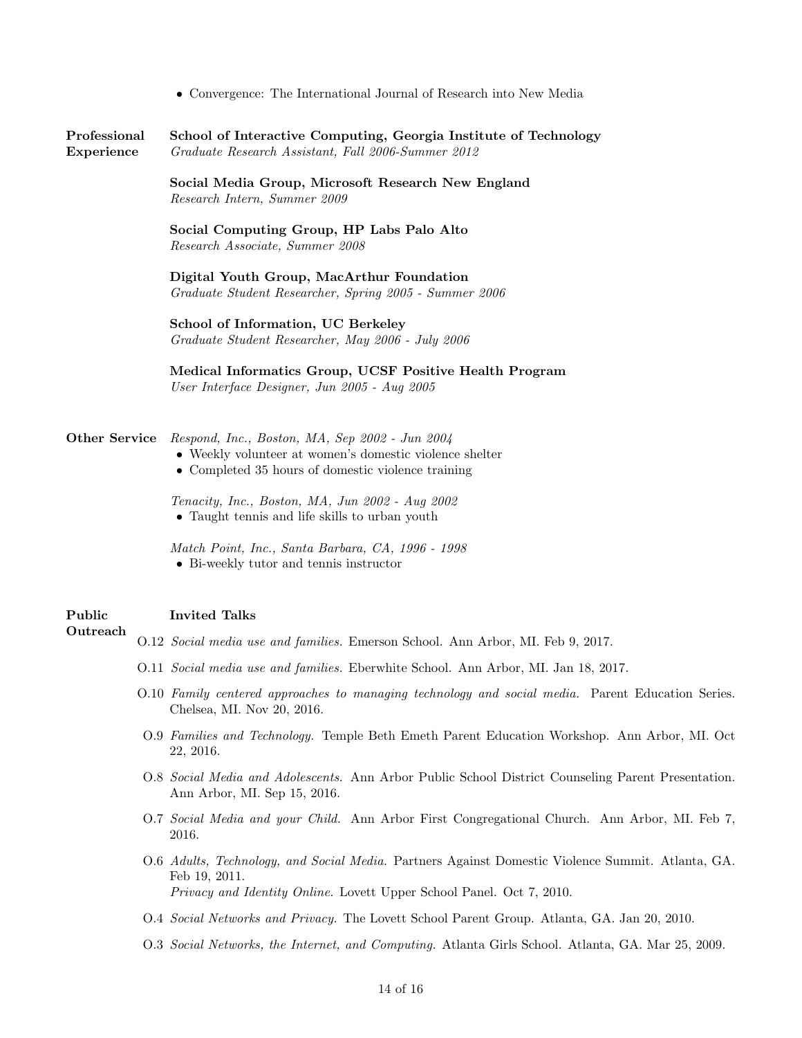|  |  |  | • Convergence: The International Journal of Research into New Media |  |  |  |  |  |  |
|--|--|--|---------------------------------------------------------------------|--|--|--|--|--|--|
|--|--|--|---------------------------------------------------------------------|--|--|--|--|--|--|

Professional School of Interactive Computing, Georgia Institute of Technology Experience Graduate Research Assistant, Fall 2006-Summer 2012

> Social Media Group, Microsoft Research New England Research Intern, Summer 2009

Social Computing Group, HP Labs Palo Alto Research Associate, Summer 2008

Digital Youth Group, MacArthur Foundation Graduate Student Researcher, Spring 2005 - Summer 2006

School of Information, UC Berkeley Graduate Student Researcher, May 2006 - July 2006

Medical Informatics Group, UCSF Positive Health Program User Interface Designer, Jun 2005 - Aug 2005

### Other Service Respond, Inc., Boston, MA, Sep 2002 - Jun 2004

- Weekly volunteer at women's domestic violence shelter
- Completed 35 hours of domestic violence training

Tenacity, Inc., Boston, MA, Jun 2002 - Aug 2002 • Taught tennis and life skills to urban youth

Match Point, Inc., Santa Barbara, CA, 1996 - 1998 • Bi-weekly tutor and tennis instructor

#### Public Invited Talks

#### Outreach

- O.12 Social media use and families. Emerson School. Ann Arbor, MI. Feb 9, 2017.
	- O.11 Social media use and families. Eberwhite School. Ann Arbor, MI. Jan 18, 2017.
	- O.10 Family centered approaches to managing technology and social media. Parent Education Series. Chelsea, MI. Nov 20, 2016.
	- O.9 Families and Technology. Temple Beth Emeth Parent Education Workshop. Ann Arbor, MI. Oct 22, 2016.
	- O.8 Social Media and Adolescents. Ann Arbor Public School District Counseling Parent Presentation. Ann Arbor, MI. Sep 15, 2016.
	- O.7 Social Media and your Child. Ann Arbor First Congregational Church. Ann Arbor, MI. Feb 7, 2016.
	- O.6 Adults, Technology, and Social Media. Partners Against Domestic Violence Summit. Atlanta, GA. Feb 19, 2011. Privacy and Identity Online. Lovett Upper School Panel. Oct 7, 2010.
	- O.4 Social Networks and Privacy. The Lovett School Parent Group. Atlanta, GA. Jan 20, 2010.
	- O.3 Social Networks, the Internet, and Computing. Atlanta Girls School. Atlanta, GA. Mar 25, 2009.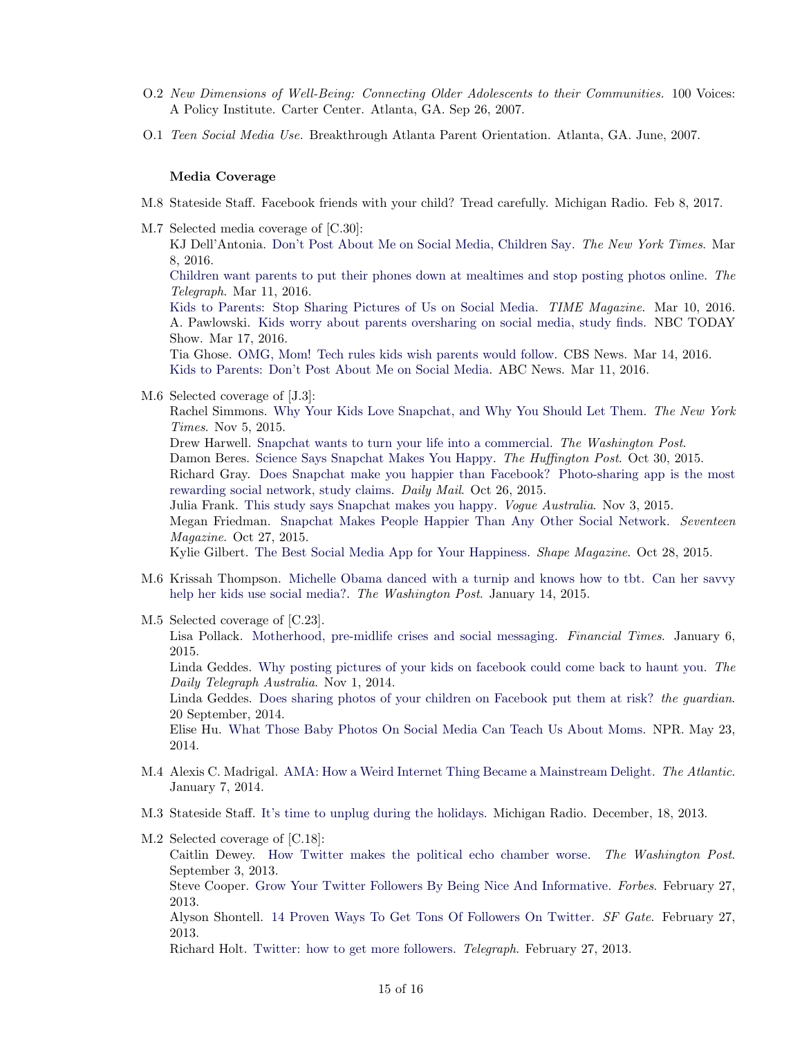- O.2 New Dimensions of Well-Being: Connecting Older Adolescents to their Communities. 100 Voices: A Policy Institute. Carter Center. Atlanta, GA. Sep 26, 2007.
- O.1 Teen Social Media Use. Breakthrough Atlanta Parent Orientation. Atlanta, GA. June, 2007.

### Media Coverage

- M.8 Stateside Staff. Facebook friends with your child? Tread carefully. Michigan Radio. Feb 8, 2017.
- M.7 Selected media coverage of [C.30]: KJ Dell'Antonia. [Don't Post About Me on Social Media, Children Say.](http://well.blogs.nytimes.com/2016/03/08/dont-post-about-me-on-social-media-children-say/) The New York Times. Mar 8, 2016. [Children want parents to put their phones down at mealtimes and stop posting photos online.](http://www.telegraph.co.uk/news/newstopics/howaboutthat/12190867/Children-want-parents-to-put-their-phones-down-at-mealtimes-and-stop-posting-photos-online.html) The Telegraph. Mar 11, 2016.

[Kids to Parents: Stop Sharing Pictures of Us on Social Media.](http://time.com/4253207/parents-social-media/) TIME Magazine. Mar 10, 2016. A. Pawlowski. [Kids worry about parents oversharing on social media, study finds.](http://www.today.com/parents/kids-worry-about-parents-oversharing-social-media-study-finds-t80321) NBC TODAY Show. Mar 17, 2016.

Tia Ghose. [OMG, Mom! Tech rules kids wish parents would follow.](http://www.cbsnews.com/news/tech-rules-kids-wish-their-parents-would-follow/) CBS News. Mar 14, 2016. [Kids to Parents: Don't Post About Me on Social Media.](http://abcnews.go.com/GMA/kids-parents-post-social-media/story?id=37573384) ABC News. Mar 11, 2016.

M.6 Selected coverage of [J.3]:

Rachel Simmons. [Why Your Kids Love Snapchat, and Why You Should Let Them.](http://parenting.blogs.nytimes.com/2015/11/05/why-your-kids-love-snapchat-and-why-you-should-let-them) The New York Times. Nov 5, 2015.

Drew Harwell. [Snapchat wants to turn your life into a commercial.](https://www.washingtonpost.com/news/the-switch/wp/2015/11/16/snapchat-wants-to-turn-your-life-into-a-commercial/) The Washington Post.

Damon Beres. [Science Says Snapchat Makes You Happy.](http://www.huffingtonpost.com/entry/snapchat-happiness-study_5630c8cae4b06317991026b8) The Huffington Post. Oct 30, 2015.

Richard Gray. [Does Snapchat make you happier than Facebook? Photo-sharing app is the most](http://www.dailymail.co.uk/sciencetech/article-3289926/Does-Snapchat-make-happier-Facebook-Photo-sharing-app-rewarding-social-network-study-claims.html) [rewarding social network, study claims.](http://www.dailymail.co.uk/sciencetech/article-3289926/Does-Snapchat-make-happier-Facebook-Photo-sharing-app-rewarding-social-network-study-claims.html) Daily Mail. Oct 26, 2015.

Julia Frank. [This study says Snapchat makes you happy.](http://www.vogue.com.au/culture/lifestyle/this+study+says+snapchat+makes+you+happy+,37782) Vogue Australia. Nov 3, 2015. Megan Friedman. [Snapchat Makes People Happier Than Any Other Social Network.](http://www.seventeen.com/life/tech-social-media/news/a35149/snapchat-social-media-happiness/) Seventeen Magazine. Oct 27, 2015.

Kylie Gilbert. [The Best Social Media App for Your Happiness.](http://www.shape.com/lifestyle/mind-and-body/best-social-media-app-your-happiness) Shape Magazine. Oct 28, 2015.

- M.6 Krissah Thompson. [Michelle Obama danced with a turnip and knows how to tbt. Can her savvy](http://www.washingtonpost.com/blogs/style-blog/wp/2015/01/14/michelle-obama-danced-with-a-turnip-and-knows-how-to-tbt-can-her-savvy-help-her-kids-use-social-media/) [help her kids use social media?.](http://www.washingtonpost.com/blogs/style-blog/wp/2015/01/14/michelle-obama-danced-with-a-turnip-and-knows-how-to-tbt-can-her-savvy-help-her-kids-use-social-media/) The Washington Post. January 14, 2015.
- M.5 Selected coverage of [C.23].

Lisa Pollack. [Motherhood, pre-midlife crises and social messaging.](http://www.ft.com/intl/cms/s/0/bf0de16a-9115-11e4-914a-00144feabdc0.html#axzz3RMz1qzMs) Financial Times. January 6, 2015.

Linda Geddes. [Why posting pictures of your kids on facebook could come back to haunt you.](http://www.dailytelegraph.com.au/lifestyle/parenting/why-posting-pictures-of-your-kids-on-facebook-could-come-back-to-haunt-you-writes-linda-geddes/story-fni0do1w-1227108345056) The Daily Telegraph Australia. Nov 1, 2014.

Linda Geddes. [Does sharing photos of your children on Facebook put them at risk?](http://www.theguardian.com/technology/2014/sep/21/children-privacy-online-facebook-photos) the guardian. 20 September, 2014.

Elise Hu. [What Those Baby Photos On Social Media Can Teach Us About Moms.](http://www.npr.org/sections/alltechconsidered/2014/05/23/314241722/what-those-baby-photos-on-social-media-can-teach-us-about-moms) NPR. May 23, 2014.

- M.4 Alexis C. Madrigal. [AMA: How a Weird Internet Thing Became a Mainstream Delight.](http://www.theatlantic.com/technology/archive/2014/01/ama-how-a-weird-internet-thing-became-a-mainstream-delight/282860/) The Atlantic. January 7, 2014.
- M.3 Stateside Staff. [It's time to unplug during the holidays.](http://michiganradio.org/post/its-time-unplug-during-holidays) Michigan Radio. December, 18, 2013.
- M.2 Selected coverage of [C.18]: Caitlin Dewey. [How Twitter makes the political echo chamber worse.](http://www.washingtonpost.com/blogs/the-fix/wp/2013/09/03/how-twitter-makes-the-political-echo-chamber-worse/) The Washington Post. September 3, 2013. Steve Cooper. [Grow Your Twitter Followers By Being Nice And Informative.](http://www.forbes.com/sites/stevecooper/2013/02/27/grow-your-twitter-followers-by-being-nice-and-informative/) Forbes. February 27, 2013. Alyson Shontell. [14 Proven Ways To Get Tons Of Followers On Twitter.](http://www.sfgate.com/technology/businessinsider/article/14-Proven-Ways-To-Get-Tons-Of-Followers-On-Twitter-4313548.php) SF Gate. February 27, 2013.

Richard Holt. [Twitter: how to get more followers.](http://www.telegraph.co.uk/technology/twitter/9897342/Twitter-how-to-get-more-followers.html) Telegraph. February 27, 2013.